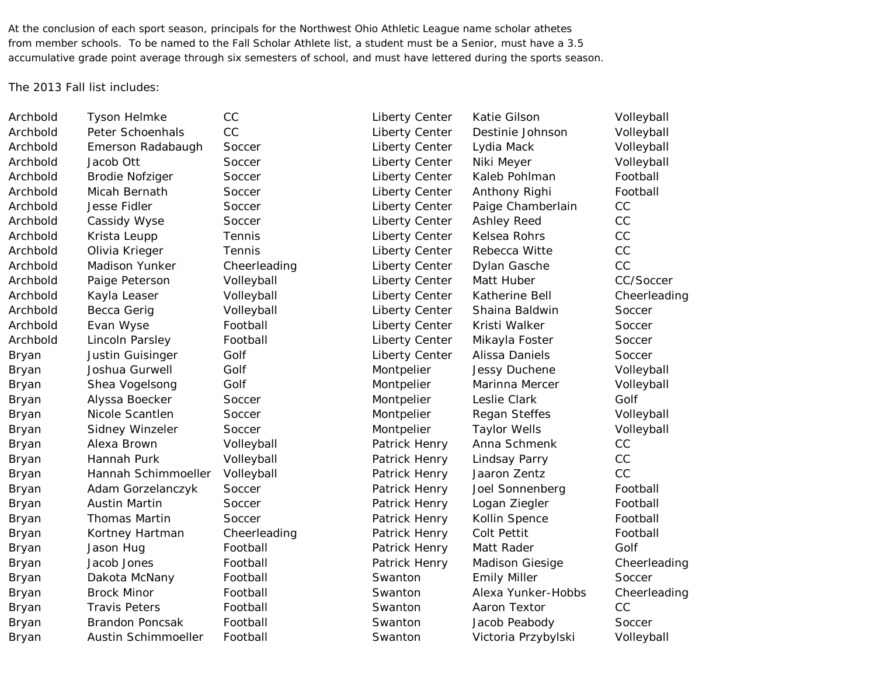At the conclusion of each sport season, principals for the Northwest Ohio Athletic League name scholar athetes from member schools. To be named to the Fall Scholar Athlete list, a student must be a Senior, must have a 3.5 accumulative grade point average through six semesters of school, and must have lettered during the sports season.

The 2013 Fall list includes:

Archbold Tyson Helmke CC CC Liberty Center Katie Gilson Colleyball Archbold Peter Schoenhals CC Liberty Center Destinie Johnson Volleyball Archbold Emerson Radabaugh Soccer and Liberty Center Lydia Mack Volleyball Archbold Jacob Ott Soccer Soccer Liberty Center Niki Meyer Volleyball Archbold Brodie Nofziger Soccer Liberty Center Kaleb Pohlman Football Archbold Micah Bernath Soccer Cliberty Center Anthony Righi Football Archbold Jesse Fidler Soccer Content Liberty Center Paige Chamberlain CC Archbold Cassidy Wyse Soccer Soccer Liberty Center Ashley Reed CC Archbold Krista Leupp Tennis Tennis Liberty Center Kelsea Rohrs CC Archbold Olivia Krieger Tennis Liberty Center Rebecca Witte CC Archbold Madison Yunker Cheerleading Liberty Center Dylan Gasche CC Archbold Paige Peterson Volleyball Ciberty Center Matt Huber CC/Soccer Archbold Kayla Leaser Volleyball Liberty Center Katherine Bell Cheerleading Archbold Becca Gerig Volleyball Liberty Center Shaina Baldwin Soccer Archbold Evan Wyse Football **Football** Liberty Center Kristi Walker Soccer Archbold Lincoln Parsley Football Liberty Center Mikayla Foster Soccer Bryan Justin Guisinger Golf Colf Liberty Center Alissa Daniels Soccer Bryan Joshua Gurwell Golf Golf Montpelier Jessy Duchene Volleyball Bryan Shea Vogelsong Golf **Gulf Montpelier** Marinna Mercer Volleyball Bryan Alyssa Boecker Soccer Montpelier Leslie Clark Golf Bryan Nicole Scantlen Soccer Montpelier Regan Steffes Volleyball Bryan Sidney Winzeler Soccer Montpelier Taylor Wells Volleyball Bryan Alexa Brown Volleyball Patrick Henry Anna Schmenk CC Bryan Hannah Purk Volleyball Patrick Henry Lindsay Parry CC Bryan Hannah Schimmoeller Volleyball Patrick Henry Jaaron Zentz CC Bryan Adam Gorzelanczyk Soccer **Patrick Henry Joel Sonnenberg** Football Bryan Austin Martin Soccer Patrick Henry Logan Ziegler Football Bryan Thomas Martin Soccer **Network** Patrick Henry Kollin Spence Football Bryan Kortney Hartman Cheerleading **Patrick Henry Colt Pettit** Pootball Bryan Jason Hug Football Patrick Henry Matt Rader Golf Bryan Jacob Jones Football Patrick Henry Madison Giesige Cheerleading Bryan Dakota McNany Football Swanton Emily Miller Soccer Bryan Brock Minor Football Swanton Alexa Yunker-Hobbs Cheerleading Bryan Travis Peters Football Swanton Aaron Textor CC Bryan Brandon Poncsak Football Swanton Jacob Peabody Soccer Bryan Austin Schimmoeller Football Swanton Victoria Przybylski Volleyball